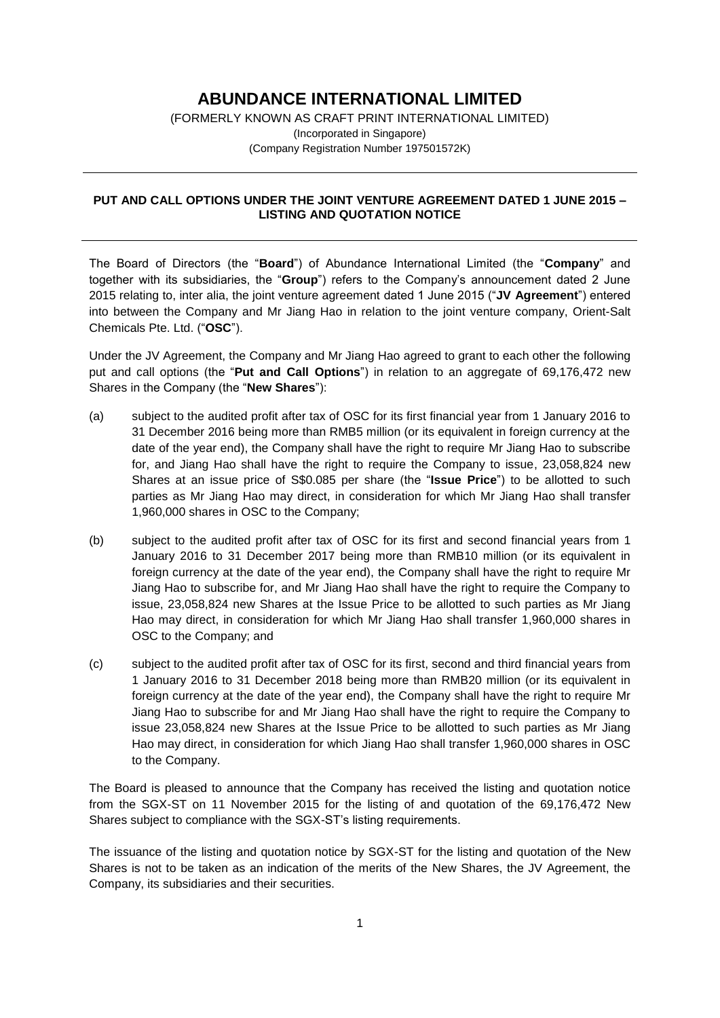## **ABUNDANCE INTERNATIONAL LIMITED**

(FORMERLY KNOWN AS CRAFT PRINT INTERNATIONAL LIMITED) (Incorporated in Singapore) (Company Registration Number 197501572K)

## **PUT AND CALL OPTIONS UNDER THE JOINT VENTURE AGREEMENT DATED 1 JUNE 2015 – LISTING AND QUOTATION NOTICE**

The Board of Directors (the "**Board**") of Abundance International Limited (the "**Company**" and together with its subsidiaries, the "**Group**") refers to the Company's announcement dated 2 June 2015 relating to, inter alia, the joint venture agreement dated 1 June 2015 ("**JV Agreement**") entered into between the Company and Mr Jiang Hao in relation to the joint venture company, Orient-Salt Chemicals Pte. Ltd. ("**OSC**").

Under the JV Agreement, the Company and Mr Jiang Hao agreed to grant to each other the following put and call options (the "**Put and Call Options**") in relation to an aggregate of 69,176,472 new Shares in the Company (the "**New Shares**"):

- (a) subject to the audited profit after tax of OSC for its first financial year from 1 January 2016 to 31 December 2016 being more than RMB5 million (or its equivalent in foreign currency at the date of the year end), the Company shall have the right to require Mr Jiang Hao to subscribe for, and Jiang Hao shall have the right to require the Company to issue, 23,058,824 new Shares at an issue price of S\$0.085 per share (the "**Issue Price**") to be allotted to such parties as Mr Jiang Hao may direct, in consideration for which Mr Jiang Hao shall transfer 1,960,000 shares in OSC to the Company;
- (b) subject to the audited profit after tax of OSC for its first and second financial years from 1 January 2016 to 31 December 2017 being more than RMB10 million (or its equivalent in foreign currency at the date of the year end), the Company shall have the right to require Mr Jiang Hao to subscribe for, and Mr Jiang Hao shall have the right to require the Company to issue, 23,058,824 new Shares at the Issue Price to be allotted to such parties as Mr Jiang Hao may direct, in consideration for which Mr Jiang Hao shall transfer 1,960,000 shares in OSC to the Company; and
- (c) subject to the audited profit after tax of OSC for its first, second and third financial years from 1 January 2016 to 31 December 2018 being more than RMB20 million (or its equivalent in foreign currency at the date of the year end), the Company shall have the right to require Mr Jiang Hao to subscribe for and Mr Jiang Hao shall have the right to require the Company to issue 23,058,824 new Shares at the Issue Price to be allotted to such parties as Mr Jiang Hao may direct, in consideration for which Jiang Hao shall transfer 1,960,000 shares in OSC to the Company.

The Board is pleased to announce that the Company has received the listing and quotation notice from the SGX-ST on 11 November 2015 for the listing of and quotation of the 69,176,472 New Shares subject to compliance with the SGX-ST's listing requirements.

The issuance of the listing and quotation notice by SGX-ST for the listing and quotation of the New Shares is not to be taken as an indication of the merits of the New Shares, the JV Agreement, the Company, its subsidiaries and their securities.